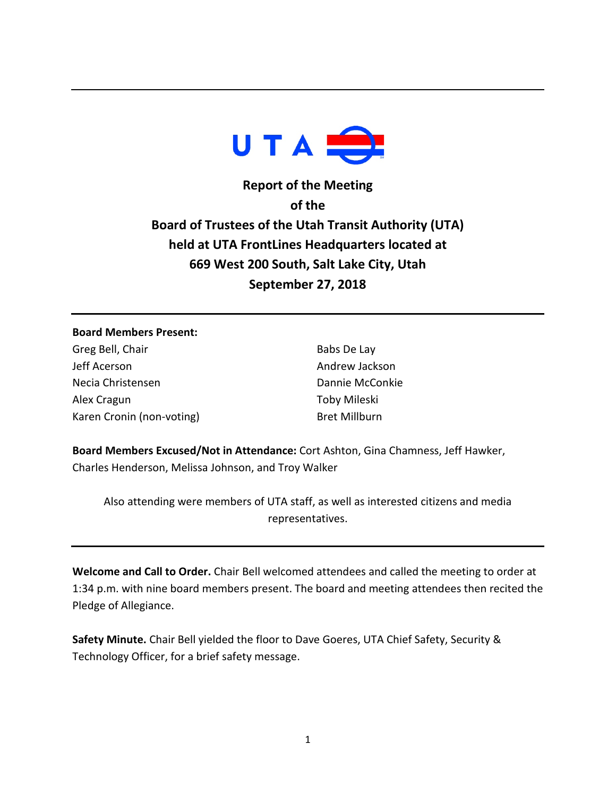

**Report of the Meeting of the Board of Trustees of the Utah Transit Authority (UTA) held at UTA FrontLines Headquarters located at 669 West 200 South, Salt Lake City, Utah September 27, 2018**

## **Board Members Present:**

Greg Bell, Chair Jeff Acerson Necia Christensen Alex Cragun Karen Cronin (non-voting)

Babs De Lay Andrew Jackson Dannie McConkie Toby Mileski Bret Millburn

**Board Members Excused/Not in Attendance:** Cort Ashton, Gina Chamness, Jeff Hawker, Charles Henderson, Melissa Johnson, and Troy Walker

Also attending were members of UTA staff, as well as interested citizens and media representatives.

**Welcome and Call to Order.** Chair Bell welcomed attendees and called the meeting to order at 1:34 p.m. with nine board members present. The board and meeting attendees then recited the Pledge of Allegiance.

**Safety Minute.** Chair Bell yielded the floor to Dave Goeres, UTA Chief Safety, Security & Technology Officer, for a brief safety message.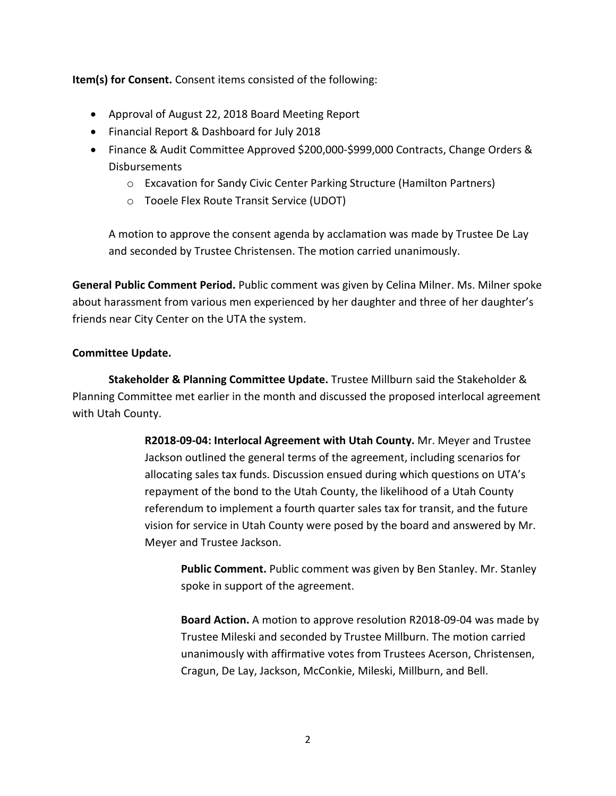**Item(s) for Consent.** Consent items consisted of the following:

- Approval of August 22, 2018 Board Meeting Report
- Financial Report & Dashboard for July 2018
- Finance & Audit Committee Approved \$200,000-\$999,000 Contracts, Change Orders & Disbursements
	- o Excavation for Sandy Civic Center Parking Structure (Hamilton Partners)
	- o Tooele Flex Route Transit Service (UDOT)

A motion to approve the consent agenda by acclamation was made by Trustee De Lay and seconded by Trustee Christensen. The motion carried unanimously.

**General Public Comment Period.** Public comment was given by Celina Milner. Ms. Milner spoke about harassment from various men experienced by her daughter and three of her daughter's friends near City Center on the UTA the system.

## **Committee Update.**

**Stakeholder & Planning Committee Update.** Trustee Millburn said the Stakeholder & Planning Committee met earlier in the month and discussed the proposed interlocal agreement with Utah County.

> **R2018-09-04: Interlocal Agreement with Utah County.** Mr. Meyer and Trustee Jackson outlined the general terms of the agreement, including scenarios for allocating sales tax funds. Discussion ensued during which questions on UTA's repayment of the bond to the Utah County, the likelihood of a Utah County referendum to implement a fourth quarter sales tax for transit, and the future vision for service in Utah County were posed by the board and answered by Mr. Meyer and Trustee Jackson.

**Public Comment.** Public comment was given by Ben Stanley. Mr. Stanley spoke in support of the agreement.

**Board Action.** A motion to approve resolution R2018-09-04 was made by Trustee Mileski and seconded by Trustee Millburn. The motion carried unanimously with affirmative votes from Trustees Acerson, Christensen, Cragun, De Lay, Jackson, McConkie, Mileski, Millburn, and Bell.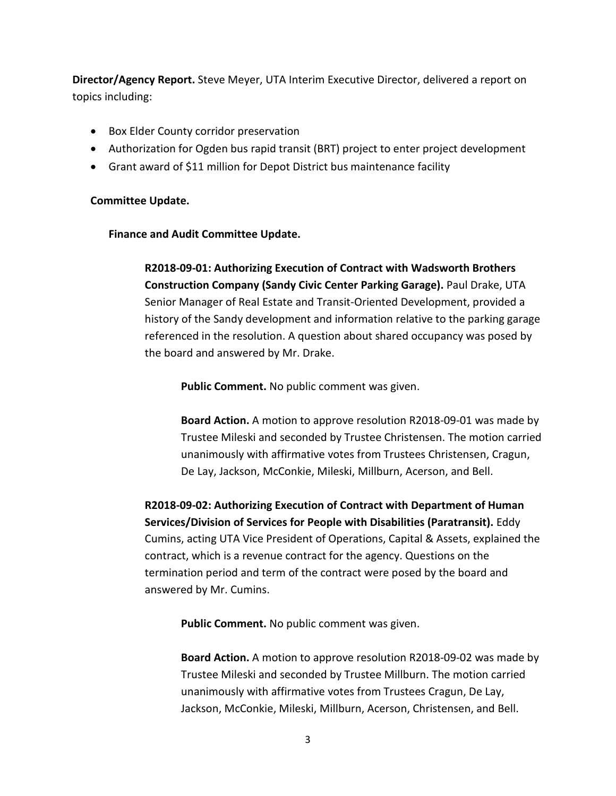**Director/Agency Report.** Steve Meyer, UTA Interim Executive Director, delivered a report on topics including:

- Box Elder County corridor preservation
- Authorization for Ogden bus rapid transit (BRT) project to enter project development
- Grant award of \$11 million for Depot District bus maintenance facility

## **Committee Update.**

## **Finance and Audit Committee Update.**

**R2018-09-01: Authorizing Execution of Contract with Wadsworth Brothers Construction Company (Sandy Civic Center Parking Garage).** Paul Drake, UTA Senior Manager of Real Estate and Transit-Oriented Development, provided a history of the Sandy development and information relative to the parking garage referenced in the resolution. A question about shared occupancy was posed by the board and answered by Mr. Drake.

**Public Comment.** No public comment was given.

**Board Action.** A motion to approve resolution R2018-09-01 was made by Trustee Mileski and seconded by Trustee Christensen. The motion carried unanimously with affirmative votes from Trustees Christensen, Cragun, De Lay, Jackson, McConkie, Mileski, Millburn, Acerson, and Bell.

**R2018-09-02: Authorizing Execution of Contract with Department of Human Services/Division of Services for People with Disabilities (Paratransit).** Eddy Cumins, acting UTA Vice President of Operations, Capital & Assets, explained the contract, which is a revenue contract for the agency. Questions on the termination period and term of the contract were posed by the board and answered by Mr. Cumins.

**Public Comment.** No public comment was given.

**Board Action.** A motion to approve resolution R2018-09-02 was made by Trustee Mileski and seconded by Trustee Millburn. The motion carried unanimously with affirmative votes from Trustees Cragun, De Lay, Jackson, McConkie, Mileski, Millburn, Acerson, Christensen, and Bell.